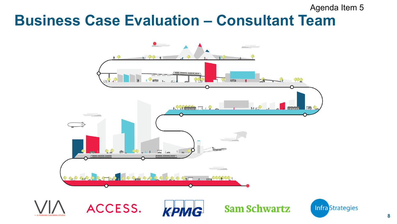### **Business Case Evaluation – Consultant Team** Agenda Item 5

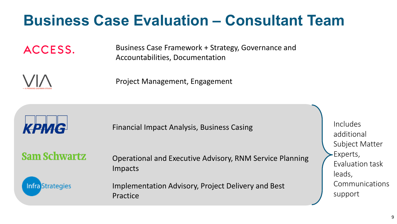## **Business Case Evaluation – Consultant Team**

ACCESS.

Business Case Framework + Strategy, Governance and Accountabilities, Documentation

Project Management, Engagement



Financial Impact Analysis, Business Casing

**Sam Schwartz** 

Operational and Executive Advisory, RNM Service Planning Impacts

**Infra** Strategies

Implementation Advisory, Project Delivery and Best Practice

Includes additional Subject Matter Experts, Evaluation task leads, Communications support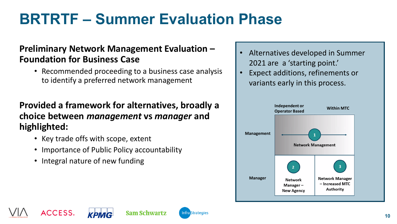# **BRTRTF – Summer Evaluation Phase**

**Sam Schwartz** 

**Infra** Strategies

#### **Preliminary Network Management Evaluation – Foundation for Business Case**

• Recommended proceeding to a business case analysis to identify a preferred network management

### **Provided a framework for alternatives, broadly a choice between** *management* **vs** *manager* **and highlighted:**

- Key trade offs with scope, extent
- Importance of Public Policy accountability
- Integral nature of new funding

**ACCESS** 

- Alternatives developed in Summer 2021 are a 'starting point.'
- Expect additions, refinements or variants early in this process.

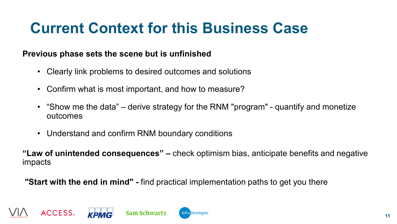# **Current Context for this Business Case**

#### **Previous phase sets the scene but is unfinished**

- Clearly link problems to desired outcomes and solutions
- Confirm what is most important, and how to measure?
- "Show me the data" derive strategy for the RNM "program" quantify and monetize outcomes
- Understand and confirm RNM boundary conditions

**"Law of unintended consequences" –** check optimism bias, anticipate benefits and negative impacts

**"Start with the end in mind" -** find practical implementation paths to get you there



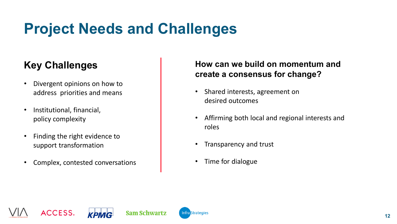# **Project Needs and Challenges**

### **Key Challenges**

- Divergent opinions on how to address priorities and means
- Institutional, financial, policy complexity
- Finding the right evidence to support transformation
- Complex, contested conversations

#### **How can we build on momentum and create a consensus for change?**

- Shared interests, agreement on desired outcomes
- Affirming both local and regional interests and roles
- Transparency and trust
- Time for dialogue









**Infra** Strategies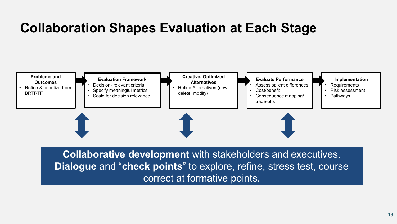### **Collaboration Shapes Evaluation at Each Stage**



**Collaborative development** with stakeholders and executives. **Dialogue** and "**check points**" to explore, refine, stress test, course correct at formative points.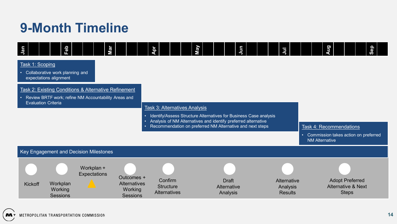### **9-Month Timeline**